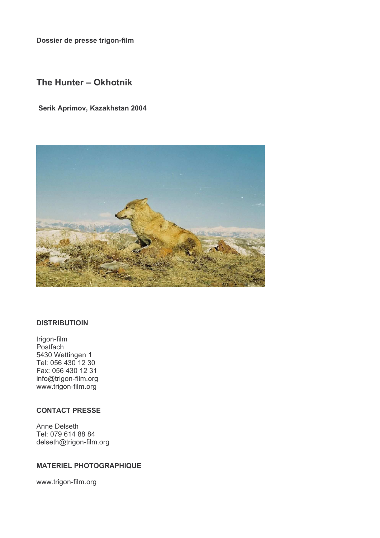Dossier de presse trigon-film

# The Hunter - Okhotnik

### Serik Aprimov, Kazakhstan 2004



### **DISTRIBUTIOIN**

trigon-film Postfach 5430 Wettingen 1 Tel: 056 430 12 30 Fax: 056 430 12 31 info@trigon-film.org www.trigon-film.org

## **CONTACT PRESSE**

Anne Delseth Tel: 079 614 88 84 delseth@trigon-film.org

### **MATERIEL PHOTOGRAPHIQUE**

www.trigon-film.org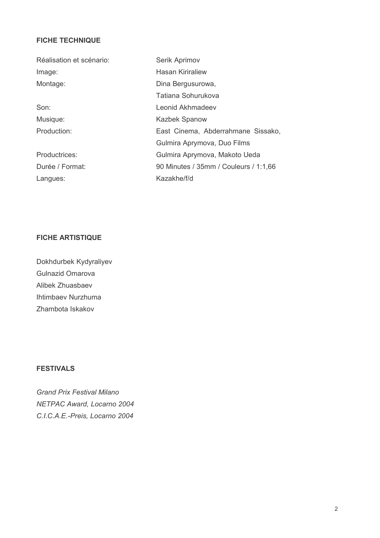## **FICHE TECHNIQUE**

| Réalisation et scénario: | Serik Aprimov                         |
|--------------------------|---------------------------------------|
| Image:                   | <b>Hasan Kiriraliew</b>               |
| Montage:                 | Dina Bergusurowa,                     |
|                          | Tatiana Sohurukova                    |
| Son:                     | Leonid Akhmadeev                      |
| Musique:                 | <b>Kazbek Spanow</b>                  |
| Production:              | East Cinema, Abderrahmane Sissako,    |
|                          | Gulmira Aprymova, Duo Films           |
| Productrices:            | Gulmira Aprymova, Makoto Ueda         |
| Durée / Format:          | 90 Minutes / 35mm / Couleurs / 1:1,66 |
| Langues:                 | Kazakhe/f/d                           |

## **FICHE ARTISTIQUE**

Dokhdurbek Kydyraliyev Gulnazid Omarova Alibek Zhuasbaev Ihtimbaev Nurzhuma Zhambota Iskakov

# **FESTIVALS**

**Grand Prix Festival Milano** NETPAC Award, Locarno 2004 C.I.C.A.E.-Preis, Locarno 2004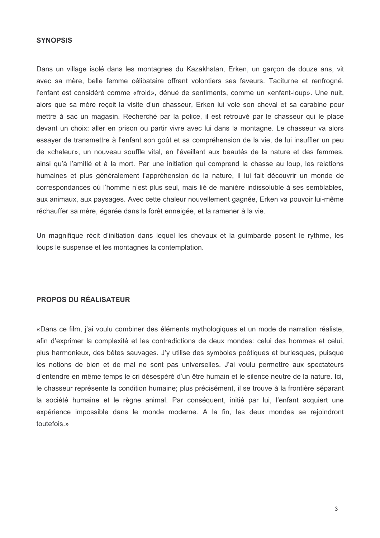### **SYNOPSIS**

Dans un village isolé dans les montagnes du Kazakhstan. Erken, un garcon de douze ans, vit avec sa mère, belle femme célibataire offrant volontiers ses faveurs. Taciturne et renfrogné, l'enfant est considéré comme «froid», dénué de sentiments, comme un «enfant-loup». Une nuit, alors que sa mère reçoit la visite d'un chasseur, Erken lui vole son cheval et sa carabine pour mettre à sac un magasin. Recherché par la police, il est retrouvé par le chasseur qui le place devant un choix: aller en prison ou partir vivre avec lui dans la montagne. Le chasseur va alors essaver de transmettre à l'enfant son goût et sa compréhension de la vie, de lui insuffler un peu de «chaleur», un nouveau souffle vital, en l'éveillant aux beautés de la nature et des femmes, ainsi qu'à l'amitié et à la mort. Par une initiation qui comprend la chasse au loup, les relations humaines et plus généralement l'appréhension de la nature, il lui fait découvrir un monde de correspondances où l'homme n'est plus seul, mais lié de manière indissoluble à ses semblables, aux animaux, aux paysages. Avec cette chaleur nouvellement gagnée, Erken va pouvoir lui-même réchauffer sa mère, égarée dans la forêt enneigée, et la ramener à la vie.

Un magnifique récit d'initiation dans lequel les chevaux et la quimbarde posent le rythme, les loups le suspense et les montagnes la contemplation.

## **PROPOS DU RÉALISATEUR**

«Dans ce film, j'ai voulu combiner des éléments mythologiques et un mode de narration réaliste, afin d'exprimer la complexité et les contradictions de deux mondes: celui des hommes et celui, plus harmonieux, des bêtes sauvages. J'y utilise des symboles poétiques et burlesques, puisque les notions de bien et de mal ne sont pas universelles. J'ai voulu permettre aux spectateurs d'entendre en même temps le cri désespéré d'un être humain et le silence neutre de la nature. Ici, le chasseur représente la condition humaine: plus précisément, il se trouve à la frontière séparant la société humaine et le règne animal. Par conséquent, initié par lui, l'enfant acquiert une expérience impossible dans le monde moderne. A la fin, les deux mondes se rejoindront toutefois »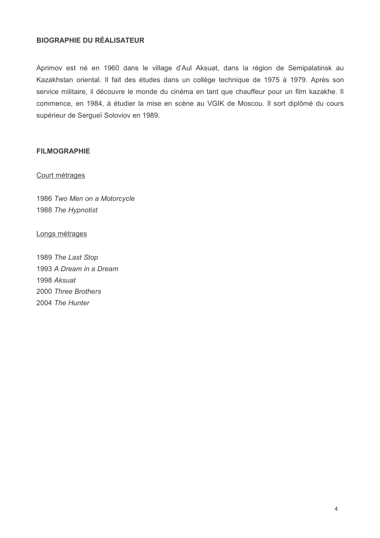## **BIOGRAPHIE DU RÉALISATEUR**

Aprimov est né en 1960 dans le village d'Aul Aksuat, dans la région de Semipalatinsk au Kazakhstan oriental. Il fait des études dans un collège technique de 1975 à 1979. Après son service militaire, il découvre le monde du cinéma en tant que chauffeur pour un film kazakhe. Il commence, en 1984, à étudier la mise en scène au VGIK de Moscou. Il sort diplômé du cours supérieur de Serqueï Soloviov en 1989.

## **FILMOGRAPHIE**

### Court métrages

1986 Two Men on a Motorcycle 1988 The Hypnotist

Longs métrages

1989 The Last Stop 1993 A Dream in a Dream 1998 Aksuat 2000 Three Brothers 2004 The Hunter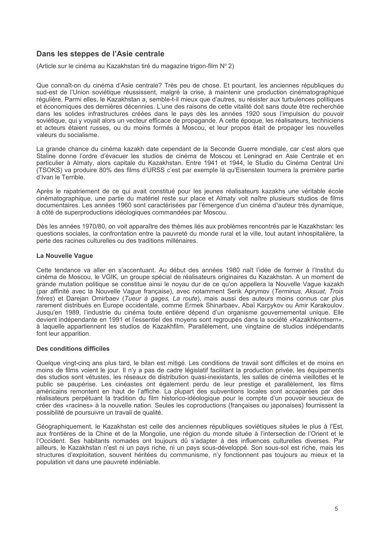### Dans les steppes de l'Asie centrale

(Article sur le cinéma au Kazakhstan tiré du magazine trigon-film N° 2)

Que connaît-on du cinéma d'Asie centrale? Très peu de chose. Et pourtant, les anciennes républiques du sud-est de l'Union soviétique réussissent, malgré la crise, à maintenir une production cinématographique régulière. Parmi elles, le Kazakhstan a, semble-t-il mieux que d'autres, su résister aux turbulences politiques et économiques des dernières décennies. L'une des raisons de cette vitalité doit sans doute être recherchée dans les solides infrastructures créées dans le pays dès les années 1920 sous l'impulsion du pouvoir soviétique, qui y voyait alors un vecteur efficace de propagande. A cette époque, les réalisateurs, techniciens et acteurs étaient russes, ou du moins formés à Moscou, et leur propos était de propager les nouvelles valeurs du socialisme.

La grande chance du cinéma kazakh date cependant de la Seconde Guerre mondiale, car c'est alors que Staline donne l'ordre d'évacuer les studios de cinéma de Moscou et Leningrad en Asie Centrale et en particulier à Almaty, alors capitale du Kazakhstan. Entre 1941 et 1944, le Studio du Cinéma Central Uni (TSOKS) va produire 80% des films d'URSS c'est par exemple là qu'Eisenstein tournera la première partie d'Ivan le Terrible.

Après le rapatriement de ce qui avait constitué pour les jeunes réalisateurs kazakhs une véritable école cinématographique, une partie du matériel reste sur place et Almaty voit naître plusieurs studios de films documentaires. Les années 1960 sont caractérisées par l'émergence d'un cinéma d'auteur très dynamique, à côté de superproductions idéologiques commandées par Moscou.

Dès les années 1970/80, on voit apparaître des thèmes liés aux problèmes rencontrés par le Kazakhstan: les questions sociales, la confrontation entre la pauvreté du monde rural et la ville, tout autant inhospitalière, la perte des racines culturelles ou des traditions millénaires.

#### La Nouvelle Vague

Cette tendance va aller en s'accentuant. Au début des années 1980 naît l'idée de former à l'Institut du cinéma de Moscou, le VGIK, un groupe spécial de réalisateurs originaires du Kazakhstan. A un moment de grande mutation politique se constitue ainsi le noyau dur de ce qu'on appellera la Nouvelle Vague kazakh (par affinité avec la Nouvelle Vague française), avec notamment Serik Aprymov (*Terminus, Aksuat, Trois* frères) et Darejan Omirbaev (*Tueur à gages, La route*), mais aussi des auteurs moins connus car plus rarement distribués en Europe occidentale, comme Ermek Shinarbaev, Abaï Karpykov ou Amir Karakoulov. Jusqu'en 1989, l'industrie du cinéma toute entière dépend d'un organisme gouvernemental unique. Elle devient indépendante en 1991 et l'essentiel des moyens sont regroupés dans la société «Kazakhkontsern», à laquelle appartiennent les studios de Kazakhfilm. Parallèlement, une vingtaine de studios indépendants font leur apparition.

### Des conditions difficiles

Quelque vingt-cinq ans plus tard, le bilan est mitigé. Les conditions de travail sont difficiles et de moins en moins de films voient le jour. Il n'y a pas de cadre législatif facilitant la production privée, les équipements des studios sont vétustes, les réseaux de distribution quasi-inexistants, les salles de cinéma vieillottes et le public se paupérise. Les cinéastes ont également perdu de leur prestige et parallèlement, les films américains remontent en haut de l'affiche. La plupart des subventions locales sont accaparées par des réalisateurs perpétuant la tradition du film historico-idéologique pour le compte d'un pouvoir soucieux de créer des «racines» à la nouvelle nation. Seules les coproductions (françaises ou japonaises) fournissent la possibilité de poursuivre un travail de qualité.

Géographiquement, le Kazakhstan est celle des anciennes républiques soviétiques situées le plus à l'Est, aux frontières de la Chine et de la Mongolie, une région du monde située à l'intersection de l'Orient et le l'Occident. Ses habitants nomades ont toujours dû s'adapter à des influences culturelles diverses. Par ailleurs, le Kazakhstan n'est ni un pays riche, ni un pays sous-développé. Son sous-sol est riche, mais les structures d'exploitation, souvent héritées du communisme, n'y fonctionnent pas toujours au mieux et la population vit dans une pauvreté indéniable.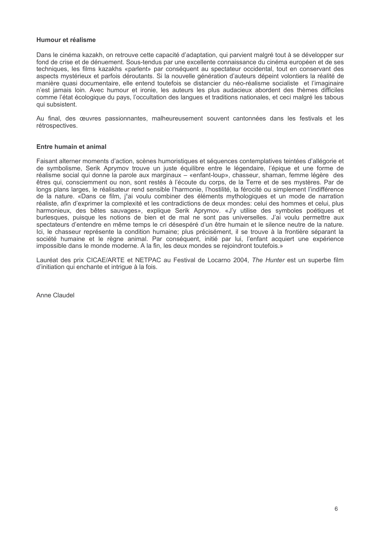#### Humour et réalisme

Dans le cinéma kazakh, on retrouve cette capacité d'adaptation, qui parvient malgré tout à se développer sur fond de crise et de dénuement. Sous-tendus par une excellente connaissance du cinéma européen et de ses techniques, les films kazakhs «parlent» par conséquent au spectateur occidental, tout en conservant des aspects mystérieux et parfois déroutants. Si la nouvelle génération d'auteurs dépeint volontiers la réalité de manière quasi documentaire, elle entend toutefois se distancier du néo-réalisme socialiste et l'imaginaire n'est jamais loin. Avec humour et ironie, les auteurs les plus audacieux abordent des thèmes difficiles comme l'état écologique du pays, l'occultation des langues et traditions nationales, et ceci malgré les tabous qui subsistent.

Au final, des œuvres passionnantes, malheureusement souvent cantonnées dans les festivals et les rétrospectives.

### Entre humain et animal

Faisant alterner moments d'action, scènes humoristiques et séquences contemplatives teintées d'allégorie et de symbolisme, Serik Aprymov trouve un juste équilibre entre le légendaire, l'épique et une forme de réalisme social qui donne la parole aux marginaux – «enfant-loup», chasseur, shaman, femme légère des êtres qui, consciemment ou non, sont restés à l'écoute du corps, de la Terre et de ses mystères. Par de longs plans larges, le réalisateur rend sensible l'harmonie, l'hostilité, la férocité ou simplement l'indifférence de la nature. «Dans ce film, j'ai voulu combiner des éléments mythologiques et un mode de narration réaliste, afin d'exprimer la complexité et les contradictions de deux mondes: celui des hommes et celui, plus harmonieux, des bêtes sauvages», explique Serik Aprymov. «J'y utilise des symboles poétiques et burlesques, puisque les notions de bien et de mal ne sont pas universelles. J'ai voulu permettre aux spectateurs d'entendre en même temps le cri désespéré d'un être humain et le silence neutre de la nature. Ici, le chasseur représente la condition humaine; plus précisément, il se trouve à la frontière séparant la société humaine et le règne animal. Par conséquent, initié par lui, l'enfant acquiert une expérience impossible dans le monde moderne. A la fin, les deux mondes se rejoindront toutefois.»

Lauréat des prix CICAE/ARTE et NETPAC au Festival de Locarno 2004, The Hunter est un superbe film d'initiation qui enchante et intrigue à la fois.

Anne Claudel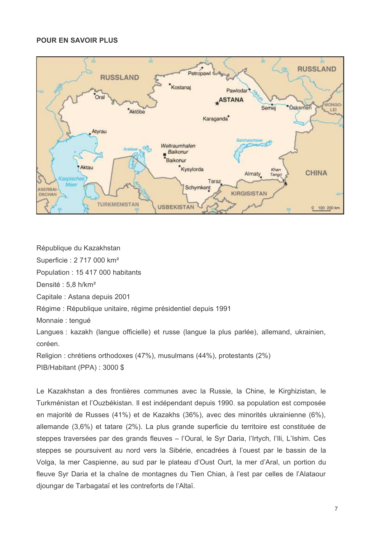### POUR EN SAVOIR PLUS



République du Kazakhstan

Superficie : 2 717 000 km<sup>2</sup>

Population: 15 417 000 habitants

Densité: 5,8 h/km<sup>2</sup>

Capitale: Astana depuis 2001

Régime : République unitaire, régime présidentiel depuis 1991

Monnaie : tenqué

Langues : kazakh (langue officielle) et russe (langue la plus parlée), allemand, ukrainien, coréen.

Religion: chrétiens orthodoxes (47%), musulmans (44%), protestants (2%) PIB/Habitant (PPA): 3000 \$

Le Kazakhstan a des frontières communes avec la Russie, la Chine, le Kirghizistan, le Turkménistan et l'Ouzbékistan. Il est indépendant depuis 1990, sa population est composée en majorité de Russes (41%) et de Kazakhs (36%), avec des minorités ukrainienne (6%), allemande (3,6%) et tatare (2%). La plus grande superficie du territoire est constituée de steppes traversées par des grands fleuves - l'Oural, le Syr Daria, l'Irtych, l'Ili, L'Ishim. Ces steppes se poursuivent au nord vers la Sibérie, encadrées à l'ouest par le bassin de la Volga, la mer Caspienne, au sud par le plateau d'Oust Ourt, la mer d'Aral, un portion du fleuve Syr Daria et la chaîne de montagnes du Tien Chian, à l'est par celles de l'Alataour dioungar de Tarbagataï et les contreforts de l'Altaï.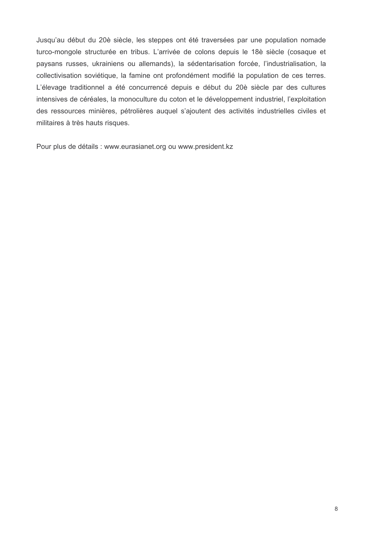Jusqu'au début du 20è siècle, les steppes ont été traversées par une population nomade turco-mongole structurée en tribus. L'arrivée de colons depuis le 18è siècle (cosaque et paysans russes, ukrainiens ou allemands), la sédentarisation forcée, l'industrialisation, la collectivisation soviétique, la famine ont profondément modifié la population de ces terres. L'élevage traditionnel a été concurrencé depuis e début du 20è siècle par des cultures intensives de céréales, la monoculture du coton et le développement industriel, l'exploitation des ressources minières, pétrolières auquel s'ajoutent des activités industrielles civiles et militaires à très hauts risques.

Pour plus de détails : www.eurasianet.org ou www.president.kz